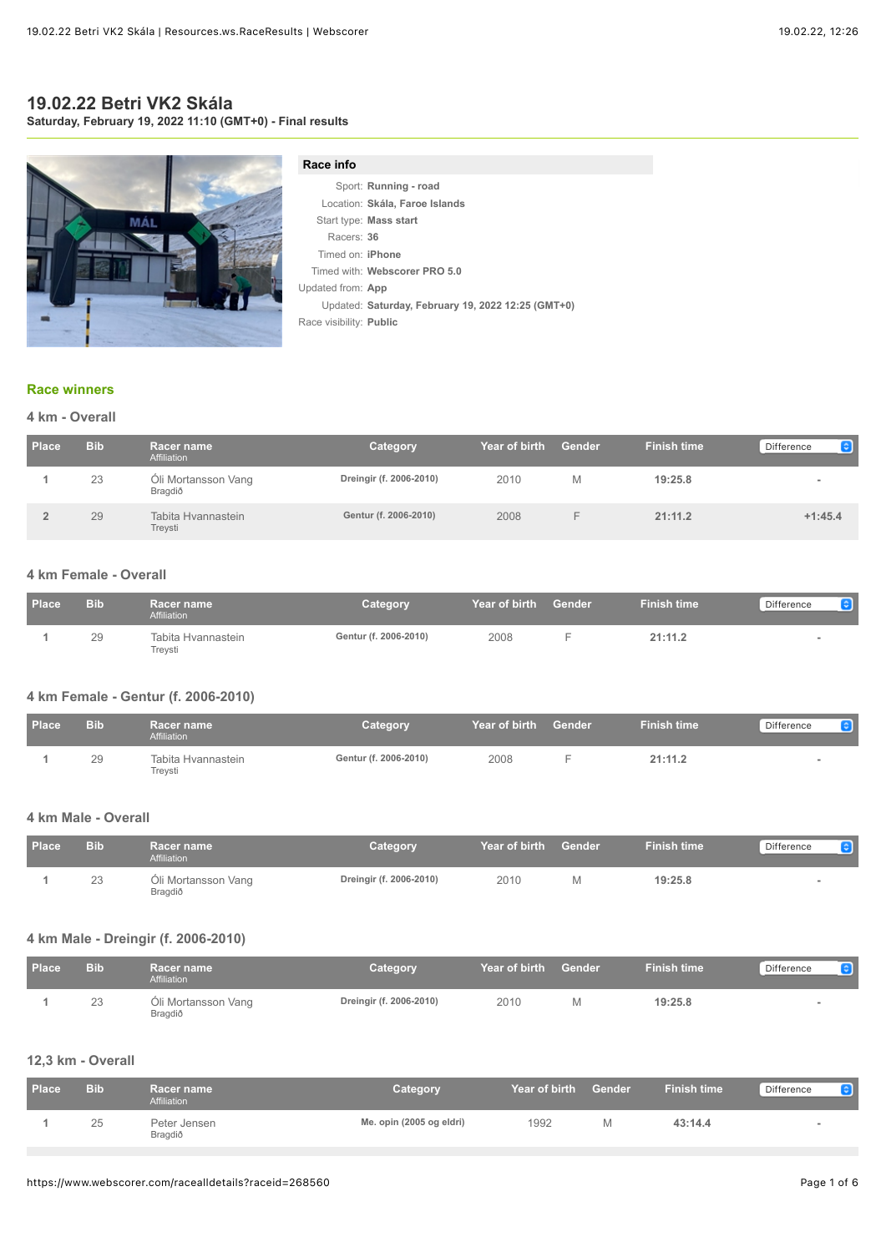# **19.02.22 Betri VK2 Skála Saturday, February 19, 2022 11:10 (GMT+0) - Final results**

MÁI

#### **Race info**

|                         | Sport: Running - road                              |
|-------------------------|----------------------------------------------------|
|                         | Location: Skála, Faroe Islands                     |
|                         | Start type: Mass start                             |
| Racers: 36              |                                                    |
| Timed on: <b>iPhone</b> |                                                    |
|                         | Timed with: Webscorer PRO 5.0                      |
| Updated from: App       |                                                    |
|                         | Updated: Saturday, February 19, 2022 12:25 (GMT+0) |
| Race visibility: Public |                                                    |
|                         |                                                    |

#### **[Race winners](https://www.webscorer.com/race?raceid=268560)**

### **4 km - Overall**

| Place | <b>Bib</b> | <b>Racer name</b><br>Affiliation | Category                | Year of birth | <b>Gender</b> | <b>Finish time</b> | G<br>Difference |
|-------|------------|----------------------------------|-------------------------|---------------|---------------|--------------------|-----------------|
|       | 23         | Oli Mortansson Vang<br>Bragdið   | Dreingir (f. 2006-2010) | 2010          | M             | 19:25.8            |                 |
|       | 29         | Tabita Hvannastein<br>Treysti    | Gentur (f. 2006-2010)   | 2008          |               | 21:11.2            | $+1:45.4$       |

# **4 km Female - Overall**

| <b>Place</b> | <b>Bib</b> | <b>Racer name</b><br>Affiliation | Category              | <b>Near of birth  Gender</b> . | <b>Finish time</b> | Difference |
|--------------|------------|----------------------------------|-----------------------|--------------------------------|--------------------|------------|
|              | 29         | Tabita Hvannastein<br>Trevsti    | Gentur (f. 2006-2010) | 2008                           | 21:11.2            |            |

### **4 km Female - Gentur (f. 2006-2010)**

| <b>Place</b> | <b>Bib</b> | Racer name<br>Affiliation     | Category              | Year of birth | Gender | <b>Finish time</b> | Difference |
|--------------|------------|-------------------------------|-----------------------|---------------|--------|--------------------|------------|
|              | 29         | Tabita Hvannastein<br>Treysti | Gentur (f. 2006-2010) | 2008          |        | 21:11.2            |            |

#### **4 km Male - Overall**

| <b>Place</b> | <b>Bib</b> | <b>Racer name</b><br>Affiliation | Category                | Year of birth | Gender | <b>Finish time</b> | Difference<br>$ \mathbf{c} $ |
|--------------|------------|----------------------------------|-------------------------|---------------|--------|--------------------|------------------------------|
|              | 23         | Oli Mortansson Vang<br>Bragdið   | Dreingir (f. 2006-2010) | 2010          |        | 19:25.8            |                              |

# **4 km Male - Dreingir (f. 2006-2010)**

| <b>Place</b> | <b>Bib</b> | Racer name<br>Affiliation      | Category                | Year of birth | Gender | <b>Finish time</b> | Difference<br> z |
|--------------|------------|--------------------------------|-------------------------|---------------|--------|--------------------|------------------|
|              | 23         | Oli Mortansson Vang<br>Bragdið | Dreingir (f. 2006-2010) | 2010          |        | 19:25.8            |                  |

#### **12,3 km - Overall**

| <b>Place</b> | <b>Bib</b> | Racer name<br>Affiliation | Category                 | Year of birth | Gender | <b>Finish time</b> | Difference |
|--------------|------------|---------------------------|--------------------------|---------------|--------|--------------------|------------|
|              | 25         | Peter Jensen<br>Bragdið   | Me. opin (2005 og eldri) | 1992          |        | 43:14.4            |            |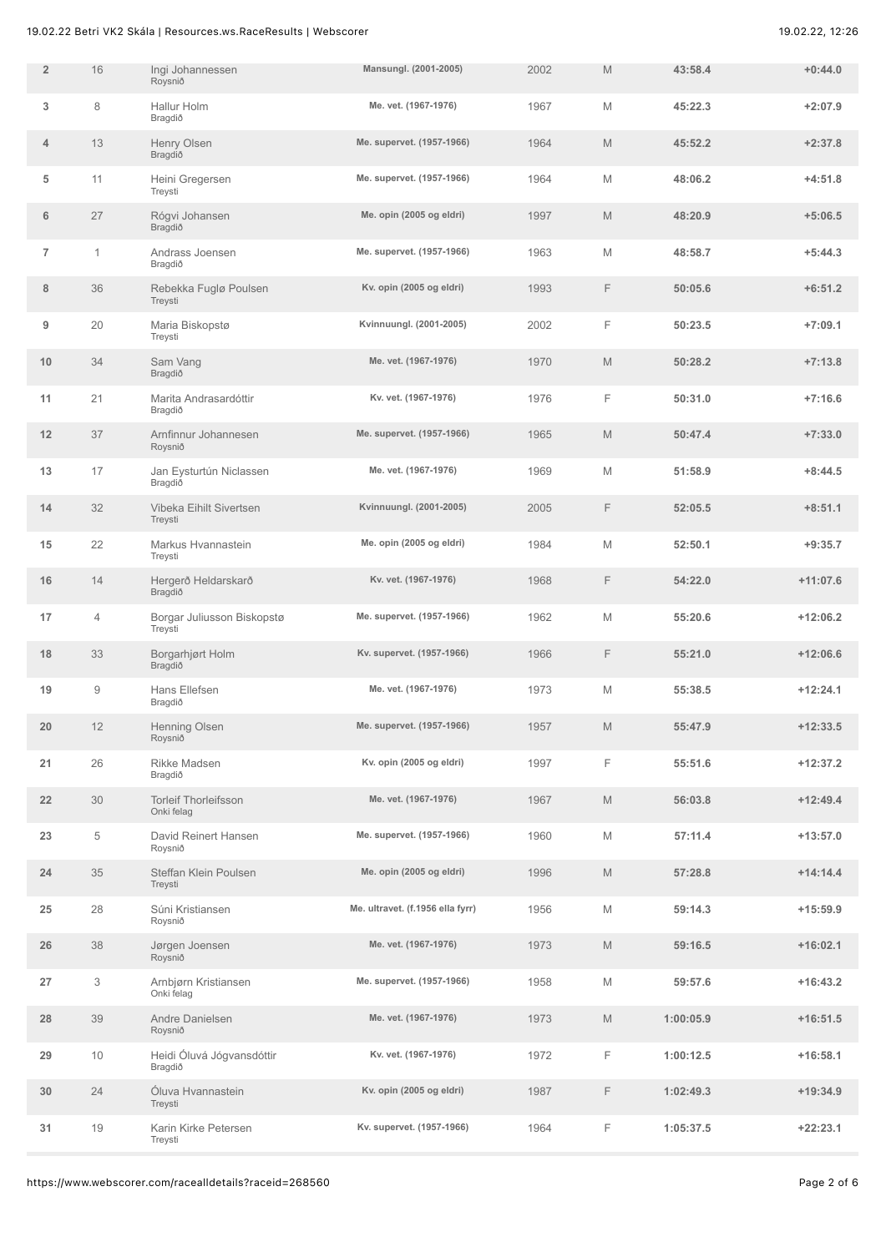| $\overline{2}$ | 16             | Ingi Johannessen<br>Roysnið               | Mansungl. (2001-2005)            | 2002 | M | 43:58.4   | $+0:44.0$  |
|----------------|----------------|-------------------------------------------|----------------------------------|------|---|-----------|------------|
| 3              | 8              | Hallur Holm<br>Bragdið                    | Me. vet. (1967-1976)             | 1967 | M | 45:22.3   | $+2:07.9$  |
| 4              | 13             | Henry Olsen<br>Bragdið                    | Me. supervet. (1957-1966)        | 1964 | M | 45:52.2   | $+2:37.8$  |
| 5              | 11             | Heini Gregersen<br>Treysti                | Me. supervet. (1957-1966)        | 1964 | M | 48:06.2   | $+4:51.8$  |
| 6              | 27             | Rógvi Johansen<br>Bragdið                 | Me. opin (2005 og eldri)         | 1997 | M | 48:20.9   | $+5:06.5$  |
| $\overline{7}$ | 1              | Andrass Joensen<br>Bragdið                | Me. supervet. (1957-1966)        | 1963 | M | 48:58.7   | $+5:44.3$  |
| 8              | 36             | Rebekka Fuglø Poulsen<br>Treysti          | Kv. opin (2005 og eldri)         | 1993 | F | 50:05.6   | $+6:51.2$  |
| 9              | 20             | Maria Biskopstø<br>Treysti                | Kvinnuungl. (2001-2005)          | 2002 | F | 50:23.5   | $+7:09.1$  |
| 10             | 34             | Sam Vang<br>Bragdið                       | Me. vet. (1967-1976)             | 1970 | M | 50:28.2   | $+7:13.8$  |
| 11             | 21             | Marita Andrasardóttir<br>Bragdið          | Kv. vet. (1967-1976)             | 1976 | F | 50:31.0   | $+7:16.6$  |
| 12             | 37             | Arnfinnur Johannesen<br>Roysnið           | Me. supervet. (1957-1966)        | 1965 | M | 50:47.4   | $+7:33.0$  |
| 13             | 17             | Jan Eysturtún Niclassen<br>Bragdið        | Me. vet. (1967-1976)             | 1969 | M | 51:58.9   | $+8:44.5$  |
| 14             | 32             | Vibeka Eihilt Sivertsen<br>Treysti        | Kvinnuungl. (2001-2005)          | 2005 | F | 52:05.5   | $+8:51.1$  |
| 15             | 22             | Markus Hvannastein<br>Treysti             | Me. opin (2005 og eldri)         | 1984 | M | 52:50.1   | $+9:35.7$  |
| 16             | 14             | Hergerð Heldarskarð<br>Bragdið            | Kv. vet. (1967-1976)             | 1968 | F | 54:22.0   | $+11:07.6$ |
| 17             | $\overline{4}$ | Borgar Juliusson Biskopstø<br>Treysti     | Me. supervet. (1957-1966)        | 1962 | M | 55:20.6   | $+12:06.2$ |
| 18             | 33             | Borgarhjørt Holm<br>Bragdið               | Kv. supervet. (1957-1966)        | 1966 | F | 55:21.0   | $+12:06.6$ |
| 19             | 9              | Hans Ellefsen<br>Bragdið                  | Me. vet. (1967-1976)             | 1973 | M | 55:38.5   | $+12:24.1$ |
| 20             | 12             | Henning Olsen<br>Roysnið                  | Me. supervet. (1957-1966)        | 1957 | M | 55:47.9   | $+12:33.5$ |
| 21             | 26             | Rikke Madsen<br>Bragdið                   | Kv. opin (2005 og eldri)         | 1997 | F | 55:51.6   | $+12:37.2$ |
| 22             | 30             | <b>Torleif Thorleifsson</b><br>Onki felag | Me. vet. (1967-1976)             | 1967 | M | 56:03.8   | $+12:49.4$ |
| 23             | $\,$ 5 $\,$    | David Reinert Hansen<br>Roysnið           | Me. supervet. (1957-1966)        | 1960 | M | 57:11.4   | $+13:57.0$ |
| 24             | 35             | Steffan Klein Poulsen<br>Treysti          | Me. opin (2005 og eldri)         | 1996 | M | 57:28.8   | $+14:14.4$ |
| 25             | 28             | Súni Kristiansen<br>Roysnið               | Me. ultravet. (f.1956 ella fyrr) | 1956 | M | 59:14.3   | $+15:59.9$ |
| 26             | 38             | Jørgen Joensen<br>Roysnið                 | Me. vet. (1967-1976)             | 1973 | M | 59:16.5   | $+16:02.1$ |
| 27             | 3              | Arnbjørn Kristiansen<br>Onki felag        | Me. supervet. (1957-1966)        | 1958 | M | 59:57.6   | $+16:43.2$ |
| 28             | 39             | Andre Danielsen<br>Roysnið                | Me. vet. (1967-1976)             | 1973 | M | 1:00:05.9 | $+16:51.5$ |
| 29             | $10$           | Heidi Óluvá Jógvansdóttir<br>Bragdið      | Kv. vet. (1967-1976)             | 1972 | F | 1:00:12.5 | $+16:58.1$ |
| 30             | 24             | Óluva Hvannastein<br>Treysti              | Kv. opin (2005 og eldri)         | 1987 | F | 1:02:49.3 | $+19:34.9$ |
| 31             | 19             | Karin Kirke Petersen<br>Treysti           | Kv. supervet. (1957-1966)        | 1964 | F | 1:05:37.5 | $+22:23.1$ |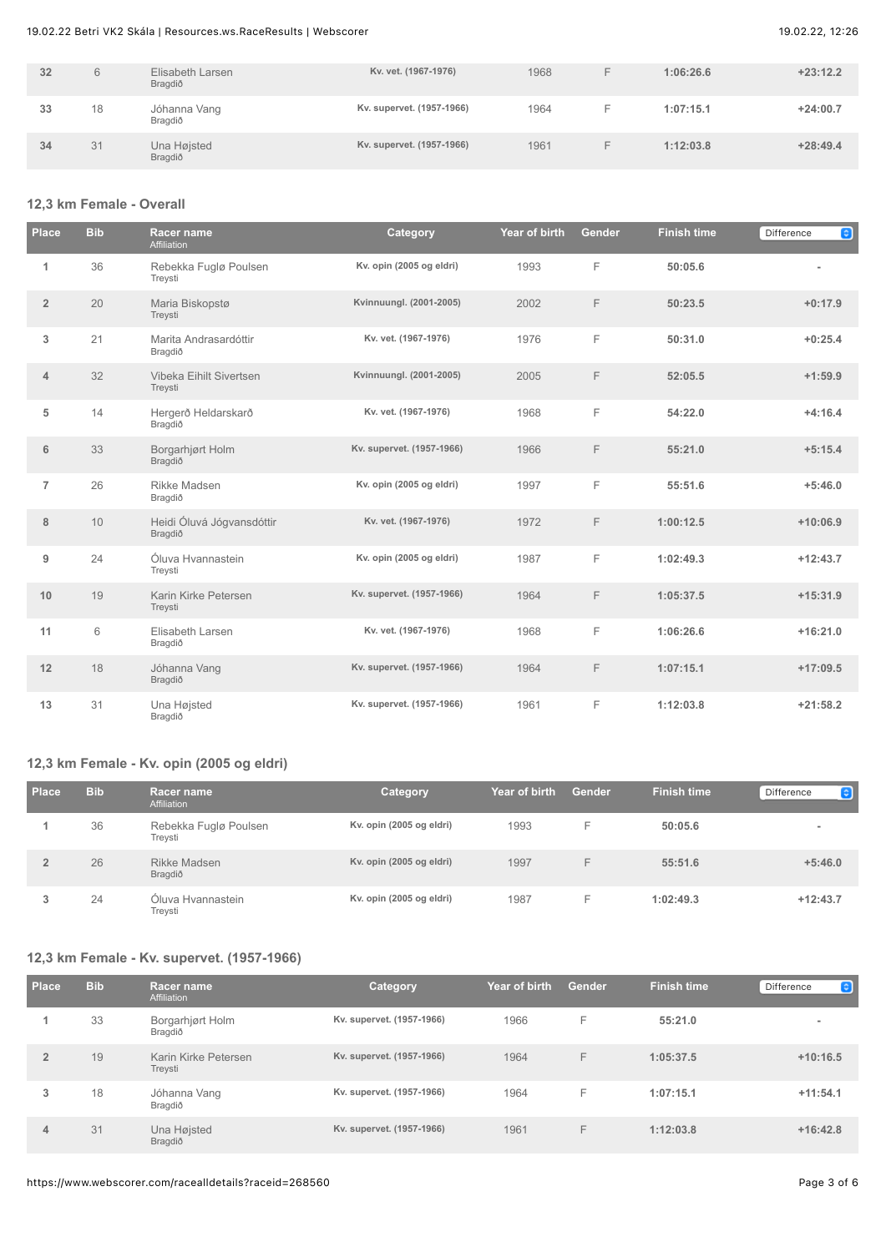| 32 | 6  | Elisabeth Larsen<br>Bragdið | Kv. vet. (1967-1976)      | 1968 | -  | 1:06:26.6 | $+23:12.2$ |
|----|----|-----------------------------|---------------------------|------|----|-----------|------------|
| 33 | 18 | Jóhanna Vang<br>Bragdið     | Kv. supervet. (1957-1966) | 1964 | -  | 1:07:15.1 | $+24:00.7$ |
| 34 | 31 | Una Højsted<br>Bragdið      | Kv. supervet. (1957-1966) | 1961 | ⊢. | 1:12:03.8 | $+28:49.4$ |

### **12,3 km Female - Overall**

| <b>Place</b>   | <b>Bib</b> | <b>Racer name</b><br>Affiliation     | Category                  | Year of birth | <b>Gender</b> | <b>Finish time</b> | $\bullet$<br>Difference  |
|----------------|------------|--------------------------------------|---------------------------|---------------|---------------|--------------------|--------------------------|
| 1              | 36         | Rebekka Fuglø Poulsen<br>Treysti     | Kv. opin (2005 og eldri)  | 1993          | F             | 50:05.6            | $\overline{\phantom{0}}$ |
| $\overline{2}$ | 20         | Maria Biskopstø<br>Treysti           | Kvinnuungl. (2001-2005)   | 2002          | F             | 50:23.5            | $+0:17.9$                |
| 3              | 21         | Marita Andrasardóttir<br>Bragdið     | Kv. vet. (1967-1976)      | 1976          | F             | 50:31.0            | $+0:25.4$                |
| $\overline{4}$ | 32         | Vibeka Eihilt Sivertsen<br>Treysti   | Kvinnuungl. (2001-2005)   | 2005          | F             | 52:05.5            | $+1:59.9$                |
| 5              | 14         | Hergerð Heldarskarð<br>Bragdið       | Kv. vet. (1967-1976)      | 1968          | F             | 54:22.0            | $+4:16.4$                |
| 6              | 33         | Borgarhjørt Holm<br>Bragdið          | Kv. supervet. (1957-1966) | 1966          | F             | 55:21.0            | $+5:15.4$                |
| $\overline{7}$ | 26         | Rikke Madsen<br>Bragdið              | Kv. opin (2005 og eldri)  | 1997          | F             | 55:51.6            | $+5:46.0$                |
| 8              | 10         | Heidi Óluvá Jógvansdóttir<br>Bragdið | Kv. vet. (1967-1976)      | 1972          | F             | 1:00:12.5          | $+10:06.9$               |
| 9              | 24         | Óluva Hvannastein<br>Treysti         | Kv. opin (2005 og eldri)  | 1987          | F             | 1:02:49.3          | $+12:43.7$               |
| 10             | 19         | Karin Kirke Petersen<br>Treysti      | Kv. supervet. (1957-1966) | 1964          | F             | 1:05:37.5          | $+15:31.9$               |
| 11             | 6          | Elisabeth Larsen<br>Bragdið          | Kv. vet. (1967-1976)      | 1968          | F             | 1:06:26.6          | $+16:21.0$               |
| 12             | 18         | Jóhanna Vang<br>Bragdið              | Kv. supervet. (1957-1966) | 1964          | F             | 1:07:15.1          | $+17:09.5$               |
| 13             | 31         | Una Højsted<br>Bragdið               | Kv. supervet. (1957-1966) | 1961          | F             | 1:12:03.8          | $+21:58.2$               |

### **12,3 km Female - Kv. opin (2005 og eldri)**

| Place | <b>Bib</b> | Racer name<br>Affiliation        | Category                 | Year of birth | <b>Gender</b> | <b>Finish time</b> | le l<br>Difference |
|-------|------------|----------------------------------|--------------------------|---------------|---------------|--------------------|--------------------|
|       | 36         | Rebekka Fuglø Poulsen<br>Treysti | Kv. opin (2005 og eldri) | 1993          | ⊢             | 50:05.6            | $\sim$             |
|       | 26         | Rikke Madsen<br>Bragdið          | Kv. opin (2005 og eldri) | 1997          | F             | 55:51.6            | $+5:46.0$          |
| 3     | 24         | Óluva Hvannastein<br>Treysti     | Kv. opin (2005 og eldri) | 1987          | F.            | 1:02:49.3          | $+12:43.7$         |

# **12,3 km Female - Kv. supervet. (1957-1966)**

| <b>Place</b>   | <b>Bib</b> | <b>Racer name</b><br>Affiliation | <b>Category</b>           | Year of birth | Gender | <b>Finish time</b> | $\bullet$<br>Difference |
|----------------|------------|----------------------------------|---------------------------|---------------|--------|--------------------|-------------------------|
|                | 33         | Borgarhjørt Holm<br>Bragdið      | Kv. supervet. (1957-1966) | 1966          | F      | 55:21.0            | $\blacksquare$          |
| $\overline{2}$ | 19         | Karin Kirke Petersen<br>Treysti  | Kv. supervet. (1957-1966) | 1964          | F      | 1:05:37.5          | $+10:16.5$              |
| 3              | 18         | Jóhanna Vang<br>Bragdið          | Kv. supervet. (1957-1966) | 1964          | F      | 1:07:15.1          | $+11:54.1$              |
| 4              | 31         | Una Højsted<br>Bragdið           | Kv. supervet. (1957-1966) | 1961          | F      | 1:12:03.8          | $+16:42.8$              |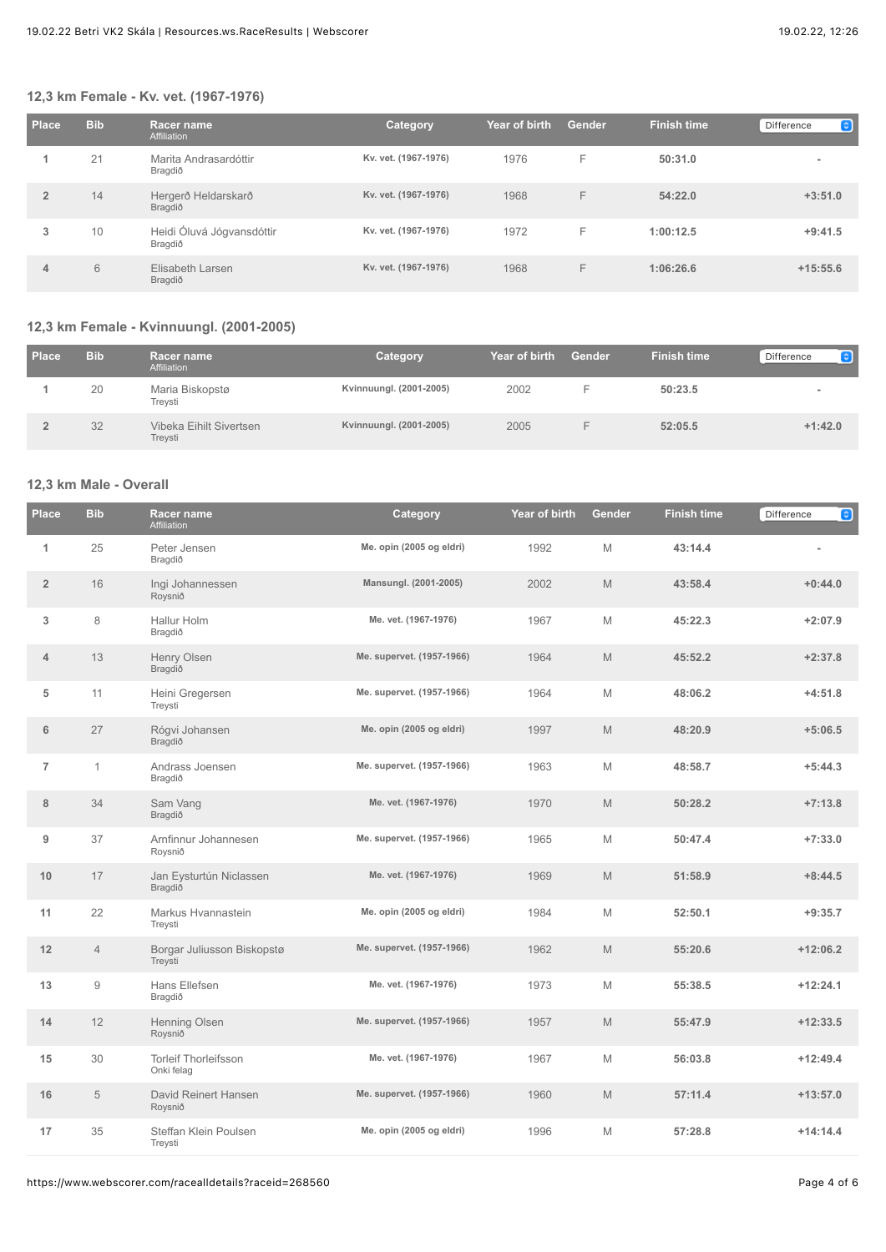### **12,3 km Female - Kv. vet. (1967-1976)**

| Place          | <b>Bib</b> | <b>Racer name</b><br>Affiliation     | Category             | Year of birth | Gender | <b>Finish time</b> | $\bullet$<br>Difference |
|----------------|------------|--------------------------------------|----------------------|---------------|--------|--------------------|-------------------------|
|                | 21         | Marita Andrasardóttir<br>Bragdið     | Kv. vet. (1967-1976) | 1976          | F      | 50:31.0            | $\blacksquare$          |
| $\overline{2}$ | 14         | Hergerð Heldarskarð<br>Bragdið       | Kv. vet. (1967-1976) | 1968          | F      | 54:22.0            | $+3:51.0$               |
| 3              | 10         | Heidi Óluvá Jógvansdóttir<br>Bragdið | Kv. vet. (1967-1976) | 1972          | F      | 1:00:12.5          | $+9:41.5$               |
| 4              | 6          | Elisabeth Larsen<br>Bragdið          | Kv. vet. (1967-1976) | 1968          | F      | 1:06:26.6          | $+15:55.6$              |

### **12,3 km Female - Kvinnuungl. (2001-2005)**

| <b>Place</b> | <b>Bib</b> | Racer name<br>Affiliation          | <b>Category</b>         | Year of birth | Gender | <b>Finish time</b> | e<br>Difference |
|--------------|------------|------------------------------------|-------------------------|---------------|--------|--------------------|-----------------|
|              | 20         | Maria Biskopstø<br>Treysti         | Kvinnuungl. (2001-2005) | 2002          |        | 50:23.5            |                 |
|              | 32         | Vibeka Eihilt Sivertsen<br>Treysti | Kvinnuungl. (2001-2005) | 2005          |        | 52:05.5            | $+1:42.0$       |

## **12,3 km Male - Overall**

| <b>Place</b>   | <b>Bib</b>     | Racer name<br>Affiliation                 | Category                  | Year of birth | Gender | <b>Finish time</b> | $\bullet$<br>Difference |
|----------------|----------------|-------------------------------------------|---------------------------|---------------|--------|--------------------|-------------------------|
| $\mathbf{1}$   | 25             | Peter Jensen<br>Bragdið                   | Me. opin (2005 og eldri)  | 1992          | M      | 43:14.4            |                         |
| $\overline{2}$ | 16             | Ingi Johannessen<br>Roysnið               | Mansungl. (2001-2005)     | 2002          | M      | 43:58.4            | $+0:44.0$               |
| 3              | 8              | Hallur Holm<br>Bragdið                    | Me. vet. (1967-1976)      | 1967          | M      | 45:22.3            | $+2:07.9$               |
| $\overline{4}$ | 13             | Henry Olsen<br>Bragdið                    | Me. supervet. (1957-1966) | 1964          | M      | 45:52.2            | $+2:37.8$               |
| 5              | 11             | Heini Gregersen<br>Treysti                | Me. supervet. (1957-1966) | 1964          | M      | 48:06.2            | $+4:51.8$               |
| 6              | 27             | Rógvi Johansen<br>Bragdið                 | Me. opin (2005 og eldri)  | 1997          | M      | 48:20.9            | $+5:06.5$               |
| $\overline{7}$ | $\mathbf{1}$   | Andrass Joensen<br>Bragdið                | Me. supervet. (1957-1966) | 1963          | M      | 48:58.7            | $+5:44.3$               |
| 8              | 34             | Sam Vang<br>Bragdið                       | Me. vet. (1967-1976)      | 1970          | M      | 50:28.2            | $+7:13.8$               |
| 9              | 37             | Arnfinnur Johannesen<br>Roysnið           | Me. supervet. (1957-1966) | 1965          | M      | 50:47.4            | $+7:33.0$               |
| 10             | 17             | Jan Eysturtún Niclassen<br>Bragdið        | Me. vet. (1967-1976)      | 1969          | M      | 51:58.9            | $+8:44.5$               |
| 11             | 22             | Markus Hvannastein<br>Treysti             | Me. opin (2005 og eldri)  | 1984          | M      | 52:50.1            | $+9:35.7$               |
| 12             | $\overline{4}$ | Borgar Juliusson Biskopstø<br>Treysti     | Me. supervet. (1957-1966) | 1962          | M      | 55:20.6            | $+12:06.2$              |
| 13             | 9              | Hans Ellefsen<br>Bragdið                  | Me. vet. (1967-1976)      | 1973          | M      | 55:38.5            | $+12:24.1$              |
| 14             | 12             | Henning Olsen<br>Roysnið                  | Me. supervet. (1957-1966) | 1957          | M      | 55:47.9            | $+12:33.5$              |
| 15             | 30             | <b>Torleif Thorleifsson</b><br>Onki felag | Me. vet. (1967-1976)      | 1967          | M      | 56:03.8            | $+12:49.4$              |
| 16             | 5              | David Reinert Hansen<br>Roysnið           | Me. supervet. (1957-1966) | 1960          | M      | 57:11.4            | $+13:57.0$              |
| 17             | 35             | Steffan Klein Poulsen<br>Treysti          | Me. opin (2005 og eldri)  | 1996          | M      | 57:28.8            | $+14:14.4$              |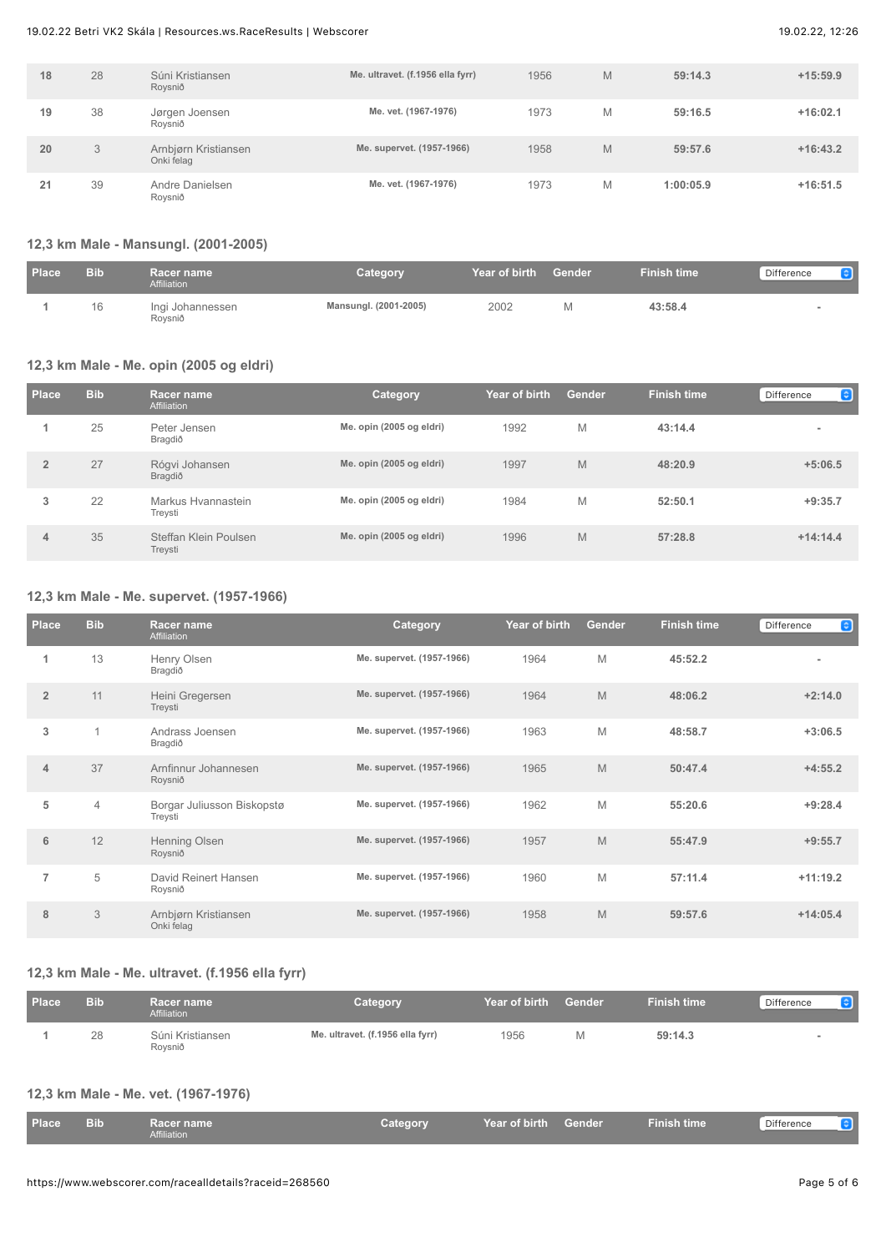| 18 | 28 | Súni Kristiansen<br>Roysnið        | Me. ultravet. (f.1956 ella fyrr) | 1956 | M | 59:14.3   | $+15:59.9$ |
|----|----|------------------------------------|----------------------------------|------|---|-----------|------------|
| 19 | 38 | Jørgen Joensen<br>Roysnið          | Me. vet. (1967-1976)             | 1973 | M | 59:16.5   | $+16:02.1$ |
| 20 | 3  | Arnbjørn Kristiansen<br>Onki felag | Me. supervet. (1957-1966)        | 1958 | M | 59:57.6   | $+16:43.2$ |
| 21 | 39 | Andre Danielsen<br>Roysnið         | Me. vet. (1967-1976)             | 1973 | M | 1:00:05.9 | $+16:51.5$ |

## **12,3 km Male - Mansungl. (2001-2005)**

| <b>Place</b> | <b>Bib</b> | Racer name<br>Affiliation   | Category              | Year of birth | Gender | <b>Finish time</b> | $\bullet$<br>Difference |
|--------------|------------|-----------------------------|-----------------------|---------------|--------|--------------------|-------------------------|
|              | 16         | Ingi Johannessen<br>Roysnið | Mansungl. (2001-2005) | 2002          |        | 43:58.4            |                         |

### **12,3 km Male - Me. opin (2005 og eldri)**

| Place          | <b>Bib</b> | <b>Racer name</b><br>Affiliation | <b>Category</b>          | Year of birth | <b>Gender</b> | <b>Finish time</b> | $\bullet$<br>Difference |
|----------------|------------|----------------------------------|--------------------------|---------------|---------------|--------------------|-------------------------|
|                | 25         | Peter Jensen<br>Bragdið          | Me. opin (2005 og eldri) | 1992          | M             | 43:14.4            | $\blacksquare$          |
| $\overline{2}$ | 27         | Rógvi Johansen<br>Bragdið        | Me. opin (2005 og eldri) | 1997          | M             | 48:20.9            | $+5:06.5$               |
| 3              | 22         | Markus Hvannastein<br>Trevsti    | Me. opin (2005 og eldri) | 1984          | M             | 52:50.1            | $+9:35.7$               |
| 4              | 35         | Steffan Klein Poulsen<br>Treysti | Me. opin (2005 og eldri) | 1996          | M             | 57:28.8            | $+14:14.4$              |

### **12,3 km Male - Me. supervet. (1957-1966)**

| <b>Place</b>   | <b>Bib</b>     | Racer name<br>Affiliation             | Category                  | Year of birth | <b>Gender</b> | <b>Finish time</b> | $\bullet$<br><b>Difference</b> |
|----------------|----------------|---------------------------------------|---------------------------|---------------|---------------|--------------------|--------------------------------|
| 1              | 13             | Henry Olsen<br>Bragdið                | Me. supervet. (1957-1966) | 1964          | M             | 45:52.2            | $\overline{\phantom{a}}$       |
| $\overline{2}$ | 11             | Heini Gregersen<br>Treysti            | Me. supervet. (1957-1966) | 1964          | M             | 48:06.2            | $+2:14.0$                      |
| 3              | $\mathbf 1$    | Andrass Joensen<br>Bragdið            | Me. supervet. (1957-1966) | 1963          | M             | 48:58.7            | $+3:06.5$                      |
| $\overline{4}$ | 37             | Arnfinnur Johannesen<br>Roysnið       | Me. supervet. (1957-1966) | 1965          | M             | 50:47.4            | $+4:55.2$                      |
| 5              | $\overline{4}$ | Borgar Juliusson Biskopstø<br>Treysti | Me. supervet. (1957-1966) | 1962          | M             | 55:20.6            | $+9:28.4$                      |
| 6              | 12             | Henning Olsen<br>Roysnið              | Me. supervet. (1957-1966) | 1957          | M             | 55:47.9            | $+9:55.7$                      |
| 7              | 5              | David Reinert Hansen<br>Roysnið       | Me. supervet. (1957-1966) | 1960          | M             | 57:11.4            | $+11:19.2$                     |
| 8              | 3              | Arnbjørn Kristiansen<br>Onki felag    | Me. supervet. (1957-1966) | 1958          | M             | 59:57.6            | $+14:05.4$                     |

# **12,3 km Male - Me. ultravet. (f.1956 ella fyrr)**

| <b>Place</b> | <b>Bib</b> | Racer name<br>Affiliation   | Category                         | Near of birth Gender \ | <b>Finish time</b> | Difference<br><b>e</b> |
|--------------|------------|-----------------------------|----------------------------------|------------------------|--------------------|------------------------|
|              | 28         | Súni Kristiansen<br>Roysnið | Me. ultravet. (f.1956 ella fyrr) | 1956                   | 59:14.3            |                        |

### **12,3 km Male - Me. vet. (1967-1976)**

| <b>Place</b> | <b>Bib</b> | <b>Racer name</b><br>Affiliation | Category | Year of birth | Gender | Finish time <sup>1</sup> | Difference |
|--------------|------------|----------------------------------|----------|---------------|--------|--------------------------|------------|
|              |            |                                  |          |               |        |                          |            |